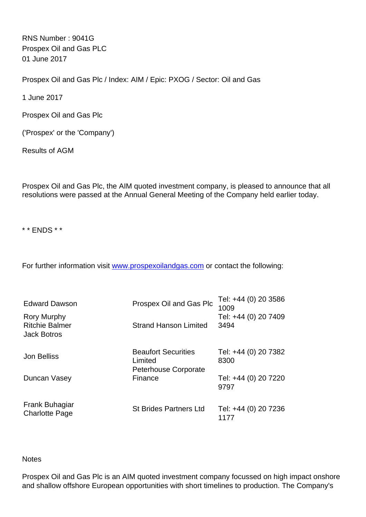RNS Number : 9041G Prospex Oil and Gas PLC 01 June 2017

Prospex Oil and Gas Plc / Index: AIM / Epic: PXOG / Sector: Oil and Gas

1 June 2017

Prospex Oil and Gas Plc

('Prospex' or the 'Company')

Results of AGM

Prospex Oil and Gas Plc, the AIM quoted investment company, is pleased to announce that all resolutions were passed at the Annual General Meeting of the Company held earlier today.

\* \* ENDS \* \*

For further information visit [www.prospexoilandgas.com](http://www.prospexoilandgas.com) or contact the following:

| <b>Edward Dawson</b>                                              | Prospex Oil and Gas Plc                                              | Tel: +44 (0) 20 3586<br>1009 |
|-------------------------------------------------------------------|----------------------------------------------------------------------|------------------------------|
| <b>Rory Murphy</b><br><b>Ritchie Balmer</b><br><b>Jack Botros</b> | <b>Strand Hanson Limited</b>                                         | Tel: +44 (0) 20 7409<br>3494 |
| <b>Jon Belliss</b>                                                | <b>Beaufort Securities</b><br>Limited<br><b>Peterhouse Corporate</b> | Tel: +44 (0) 20 7382<br>8300 |
| Duncan Vasey                                                      | Finance                                                              | Tel: +44 (0) 20 7220<br>9797 |
| Frank Buhagiar<br><b>Charlotte Page</b>                           | <b>St Brides Partners Ltd</b>                                        | Tel: +44 (0) 20 7236<br>1177 |

## **Notes**

Prospex Oil and Gas Plc is an AIM quoted investment company focussed on high impact onshore and shallow offshore European opportunities with short timelines to production. The Company's